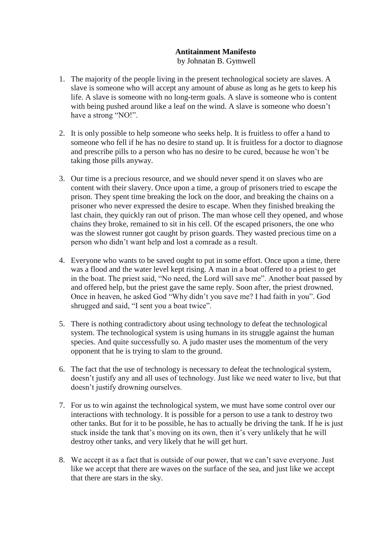## **Antitainment Manifesto** by Johnatan B. Gymwell

- 1. The majority of the people living in the present technological society are slaves. A slave is someone who will accept any amount of abuse as long as he gets to keep his life. A slave is someone with no long-term goals. A slave is someone who is content with being pushed around like a leaf on the wind. A slave is someone who doesn't have a strong "NO!".
- 2. It is only possible to help someone who seeks help. It is fruitless to offer a hand to someone who fell if he has no desire to stand up. It is fruitless for a doctor to diagnose and prescribe pills to a person who has no desire to be cured, because he won't be taking those pills anyway.
- 3. Our time is a precious resource, and we should never spend it on slaves who are content with their slavery. Once upon a time, a group of prisoners tried to escape the prison. They spent time breaking the lock on the door, and breaking the chains on a prisoner who never expressed the desire to escape. When they finished breaking the last chain, they quickly ran out of prison. The man whose cell they opened, and whose chains they broke, remained to sit in his cell. Of the escaped prisoners, the one who was the slowest runner got caught by prison guards. They wasted precious time on a person who didn't want help and lost a comrade as a result.
- 4. Everyone who wants to be saved ought to put in some effort. Once upon a time, there was a flood and the water level kept rising. A man in a boat offered to a priest to get in the boat. The priest said, "No need, the Lord will save me". Another boat passed by and offered help, but the priest gave the same reply. Soon after, the priest drowned. Once in heaven, he asked God "Why didn't you save me? I had faith in you". God shrugged and said, "I sent you a boat twice".
- 5. There is nothing contradictory about using technology to defeat the technological system. The technological system is using humans in its struggle against the human species. And quite successfully so. A judo master uses the momentum of the very opponent that he is trying to slam to the ground.
- 6. The fact that the use of technology is necessary to defeat the technological system, doesn't justify any and all uses of technology. Just like we need water to live, but that doesn't justify drowning ourselves.
- 7. For us to win against the technological system, we must have some control over our interactions with technology. It is possible for a person to use a tank to destroy two other tanks. But for it to be possible, he has to actually be driving the tank. If he is just stuck inside the tank that's moving on its own, then it's very unlikely that he will destroy other tanks, and very likely that he will get hurt.
- 8. We accept it as a fact that is outside of our power, that we can't save everyone. Just like we accept that there are waves on the surface of the sea, and just like we accept that there are stars in the sky.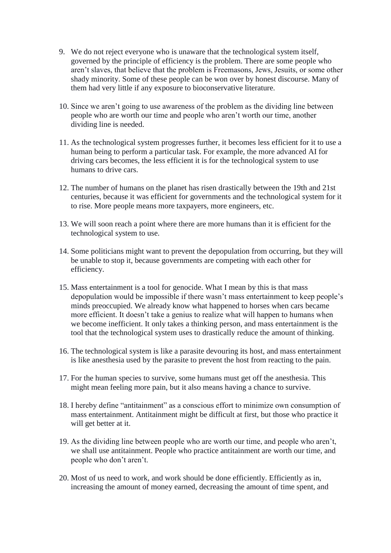- 9. We do not reject everyone who is unaware that the technological system itself, governed by the principle of efficiency is the problem. There are some people who aren't slaves, that believe that the problem is Freemasons, Jews, Jesuits, or some other shady minority. Some of these people can be won over by honest discourse. Many of them had very little if any exposure to bioconservative literature.
- 10. Since we aren't going to use awareness of the problem as the dividing line between people who are worth our time and people who aren't worth our time, another dividing line is needed.
- 11. As the technological system progresses further, it becomes less efficient for it to use a human being to perform a particular task. For example, the more advanced AI for driving cars becomes, the less efficient it is for the technological system to use humans to drive cars.
- 12. The number of humans on the planet has risen drastically between the 19th and 21st centuries, because it was efficient for governments and the technological system for it to rise. More people means more taxpayers, more engineers, etc.
- 13. We will soon reach a point where there are more humans than it is efficient for the technological system to use.
- 14. Some politicians might want to prevent the depopulation from occurring, but they will be unable to stop it, because governments are competing with each other for efficiency.
- 15. Mass entertainment is a tool for genocide. What I mean by this is that mass depopulation would be impossible if there wasn't mass entertainment to keep people's minds preoccupied. We already know what happened to horses when cars became more efficient. It doesn't take a genius to realize what will happen to humans when we become inefficient. It only takes a thinking person, and mass entertainment is the tool that the technological system uses to drastically reduce the amount of thinking.
- 16. The technological system is like a parasite devouring its host, and mass entertainment is like anesthesia used by the parasite to prevent the host from reacting to the pain.
- 17. For the human species to survive, some humans must get off the anesthesia. This might mean feeling more pain, but it also means having a chance to survive.
- 18. I hereby define "antitainment" as a conscious effort to minimize own consumption of mass entertainment. Antitainment might be difficult at first, but those who practice it will get better at it.
- 19. As the dividing line between people who are worth our time, and people who aren't, we shall use antitainment. People who practice antitainment are worth our time, and people who don't aren't.
- 20. Most of us need to work, and work should be done efficiently. Efficiently as in, increasing the amount of money earned, decreasing the amount of time spent, and